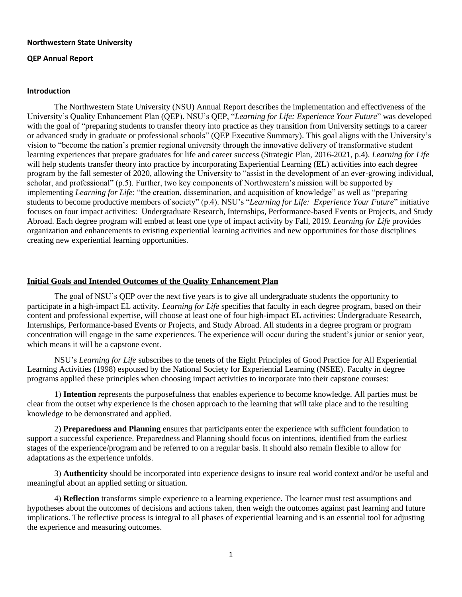#### **Northwestern State University**

### **QEP Annual Report**

### **Introduction**

The Northwestern State University (NSU) Annual Report describes the implementation and effectiveness of the University's Quality Enhancement Plan (QEP). NSU's QEP, "*Learning for Life: Experience Your Future*" was developed with the goal of "preparing students to transfer theory into practice as they transition from University settings to a career or advanced study in graduate or professional schools" (QEP Executive Summary). This goal aligns with the University's vision to "become the nation's premier regional university through the innovative delivery of transformative student learning experiences that prepare graduates for life and career success (Strategic Plan, 2016-2021, p.4). *Learning for Life* will help students transfer theory into practice by incorporating Experiential Learning (EL) activities into each degree program by the fall semester of 2020, allowing the University to "assist in the development of an ever-growing individual, scholar, and professional" (p.5). Further, two key components of Northwestern's mission will be supported by implementing *Learning for Life*: "the creation, dissemination, and acquisition of knowledge" as well as "preparing students to become productive members of society" (p.4). NSU's "*Learning for Life: Experience Your Future*" initiative focuses on four impact activities: Undergraduate Research, Internships, Performance-based Events or Projects, and Study Abroad. Each degree program will embed at least one type of impact activity by Fall, 2019. *Learning for Life* provides organization and enhancements to existing experiential learning activities and new opportunities for those disciplines creating new experiential learning opportunities.

#### **Initial Goals and Intended Outcomes of the Quality Enhancement Plan**

The goal of NSU's QEP over the next five years is to give all undergraduate students the opportunity to participate in a high-impact EL activity*. Learning for Life* specifies that faculty in each degree program, based on their content and professional expertise, will choose at least one of four high-impact EL activities: Undergraduate Research, Internships, Performance-based Events or Projects, and Study Abroad. All students in a degree program or program concentration will engage in the same experiences. The experience will occur during the student's junior or senior year, which means it will be a capstone event.

NSU's *Learning for Life* subscribes to the tenets of the Eight Principles of Good Practice for All Experiential Learning Activities (1998) espoused by the National Society for Experiential Learning (NSEE). Faculty in degree programs applied these principles when choosing impact activities to incorporate into their capstone courses:

1) **Intention** represents the purposefulness that enables experience to become knowledge. All parties must be clear from the outset why experience is the chosen approach to the learning that will take place and to the resulting knowledge to be demonstrated and applied.

2) **Preparedness and Planning** ensures that participants enter the experience with sufficient foundation to support a successful experience. Preparedness and Planning should focus on intentions, identified from the earliest stages of the experience/program and be referred to on a regular basis. It should also remain flexible to allow for adaptations as the experience unfolds.

3) **Authenticity** should be incorporated into experience designs to insure real world context and/or be useful and meaningful about an applied setting or situation.

4) **Reflection** transforms simple experience to a learning experience. The learner must test assumptions and hypotheses about the outcomes of decisions and actions taken, then weigh the outcomes against past learning and future implications. The reflective process is integral to all phases of experiential learning and is an essential tool for adjusting the experience and measuring outcomes.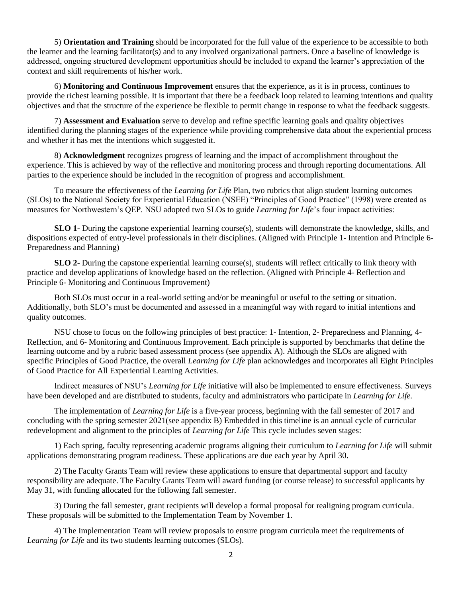5) **Orientation and Training** should be incorporated for the full value of the experience to be accessible to both the learner and the learning facilitator(s) and to any involved organizational partners. Once a baseline of knowledge is addressed, ongoing structured development opportunities should be included to expand the learner's appreciation of the context and skill requirements of his/her work.

6) **Monitoring and Continuous Improvement** ensures that the experience, as it is in process, continues to provide the richest learning possible. It is important that there be a feedback loop related to learning intentions and quality objectives and that the structure of the experience be flexible to permit change in response to what the feedback suggests.

7) **Assessment and Evaluation** serve to develop and refine specific learning goals and quality objectives identified during the planning stages of the experience while providing comprehensive data about the experiential process and whether it has met the intentions which suggested it.

8) **Acknowledgment** recognizes progress of learning and the impact of accomplishment throughout the experience. This is achieved by way of the reflective and monitoring process and through reporting documentations. All parties to the experience should be included in the recognition of progress and accomplishment.

To measure the effectiveness of the *Learning for Life* Plan, two rubrics that align student learning outcomes (SLOs) to the National Society for Experiential Education (NSEE) "Principles of Good Practice" (1998) were created as measures for Northwestern's QEP. NSU adopted two SLOs to guide *Learning for Life*'s four impact activities:

**SLO 1-** During the capstone experiential learning course(s), students will demonstrate the knowledge, skills, and dispositions expected of entry-level professionals in their disciplines. (Aligned with Principle 1- Intention and Principle 6- Preparedness and Planning)

**SLO 2**- During the capstone experiential learning course(s), students will reflect critically to link theory with practice and develop applications of knowledge based on the reflection. (Aligned with Principle 4- Reflection and Principle 6- Monitoring and Continuous Improvement)

Both SLOs must occur in a real-world setting and/or be meaningful or useful to the setting or situation. Additionally, both SLO's must be documented and assessed in a meaningful way with regard to initial intentions and quality outcomes.

NSU chose to focus on the following principles of best practice: 1- Intention, 2- Preparedness and Planning, 4- Reflection, and 6- Monitoring and Continuous Improvement. Each principle is supported by benchmarks that define the learning outcome and by a rubric based assessment process (see appendix A). Although the SLOs are aligned with specific Principles of Good Practice, the overall *Learning for Life* plan acknowledges and incorporates all Eight Principles of Good Practice for All Experiential Learning Activities.

Indirect measures of NSU's *Learning for Life* initiative will also be implemented to ensure effectiveness. Surveys have been developed and are distributed to students, faculty and administrators who participate in *Learning for Life.*

The implementation of *Learning for Life* is a five-year process, beginning with the fall semester of 2017 and concluding with the spring semester 2021(see appendix B) Embedded in this timeline is an annual cycle of curricular redevelopment and alignment to the principles of *Learning for Life* This cycle includes seven stages:

1) Each spring, faculty representing academic programs aligning their curriculum to *Learning for Life* will submit applications demonstrating program readiness. These applications are due each year by April 30.

2) The Faculty Grants Team will review these applications to ensure that departmental support and faculty responsibility are adequate. The Faculty Grants Team will award funding (or course release) to successful applicants by May 31, with funding allocated for the following fall semester.

3) During the fall semester, grant recipients will develop a formal proposal for realigning program curricula. These proposals will be submitted to the Implementation Team by November 1.

4) The Implementation Team will review proposals to ensure program curricula meet the requirements of *Learning for Life* and its two students learning outcomes (SLOs).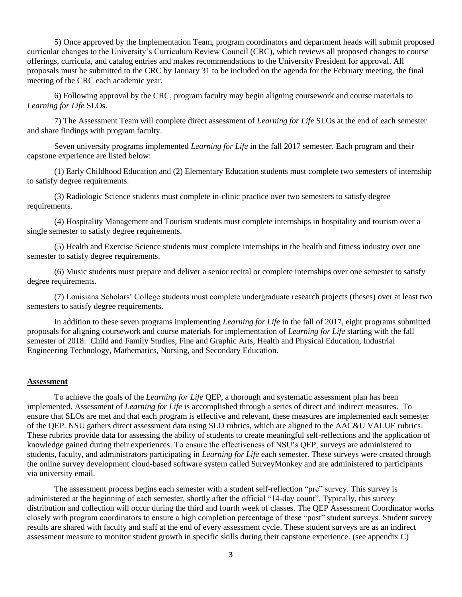5) Once approved by the Implementation Team, program coordinators and department heads will submit proposed curricular changes to the University's Curriculum Review Council (CRC), which reviews all proposed changes to course offerings, curricula, and catalog entries and makes recommendations to the University President for approval. All proposals must be submitted to the CRC by January 31 to be included on the agenda for the February meeting, the final meeting of the CRC each academic year.

6) Following approval by the CRC, program faculty may begin aligning coursework and course materials to *Learning for Life* SLOs.

7) The Assessment Team will complete direct assessment of *Learning for Life* SLOs at the end of each semester and share findings with program faculty.

Seven university programs implemented *Learning for Life* in the fall 2017 semester. Each program and their capstone experience are listed below:

(1) Early Childhood Education and (2) Elementary Education students must complete two semesters of internship to satisfy degree requirements.

(3) Radiologic Science students must complete in-clinic practice over two semesters to satisfy degree requirements.

(4) Hospitality Management and Tourism students must complete internships in hospitality and tourism over a single semester to satisfy degree requirements.

(5) Health and Exercise Science students must complete internships in the health and fitness industry over one semester to satisfy degree requirements.

(6) Music students must prepare and deliver a senior recital or complete internships over one semester to satisfy degree requirements.

(7) Louisiana Scholars' College students must complete undergraduate research projects (theses) over at least two semesters to satisfy degree requirements.

In addition to these seven programs implementing *Learning for Life* in the fall of 2017, eight programs submitted proposals for aligning coursework and course materials for implementation of *Learning for Life* starting with the fall semester of 2018: Child and Family Studies, Fine and Graphic Arts, Health and Physical Education, Industrial Engineering Technology, Mathematics, Nursing, and Secondary Education.

### **Assessment**

To achieve the goals of the *Learning for Life* QEP, a thorough and systematic assessment plan has been implemented. Assessment of *Learning for Life* is accomplished through a series of direct and indirect measures. To ensure that SLOs are met and that each program is effective and relevant, these measures are implemented each semester of the QEP. NSU gathers direct assessment data using SLO rubrics, which are aligned to the AAC&U VALUE rubrics. These rubrics provide data for assessing the ability of students to create meaningful self-reflections and the application of knowledge gained during their experiences. To ensure the effectiveness of NSU's QEP, surveys are administered to students, faculty, and administrators participating in *Learning for Life* each semester*.* These surveys were created through the online survey development cloud-based software system called SurveyMonkey and are administered to participants via university email.

The assessment process begins each semester with a student self-reflection "pre" survey. This survey is administered at the beginning of each semester, shortly after the official "14-day count". Typically, this survey distribution and collection will occur during the third and fourth week of classes. The QEP Assessment Coordinator works closely with program coordinators to ensure a high completion percentage of these "post" student surveys. Student survey results are shared with faculty and staff at the end of every assessment cycle. These student surveys are as an indirect assessment measure to monitor student growth in specific skills during their capstone experience. (see appendix C)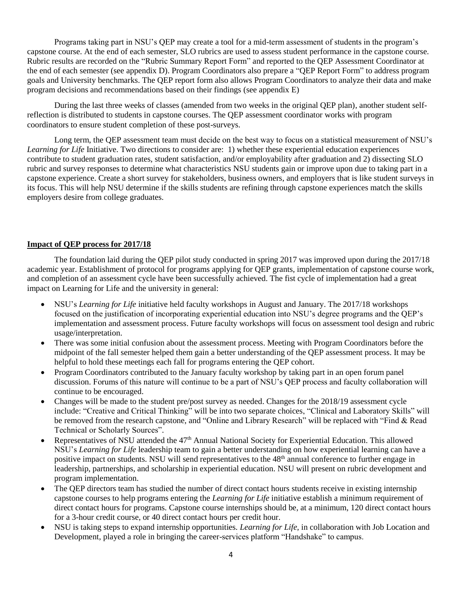Programs taking part in NSU's QEP may create a tool for a mid-term assessment of students in the program's capstone course. At the end of each semester, SLO rubrics are used to assess student performance in the capstone course. Rubric results are recorded on the "Rubric Summary Report Form" and reported to the QEP Assessment Coordinator at the end of each semester (see appendix D). Program Coordinators also prepare a "QEP Report Form" to address program goals and University benchmarks. The QEP report form also allows Program Coordinators to analyze their data and make program decisions and recommendations based on their findings (see appendix E)

During the last three weeks of classes (amended from two weeks in the original QEP plan), another student selfreflection is distributed to students in capstone courses. The QEP assessment coordinator works with program coordinators to ensure student completion of these post-surveys.

Long term, the QEP assessment team must decide on the best way to focus on a statistical measurement of NSU's *Learning for Life* Initiative. Two directions to consider are: 1) whether these experiential education experiences contribute to student graduation rates, student satisfaction, and/or employability after graduation and 2) dissecting SLO rubric and survey responses to determine what characteristics NSU students gain or improve upon due to taking part in a capstone experience. Create a short survey for stakeholders, business owners, and employers that is like student surveys in its focus. This will help NSU determine if the skills students are refining through capstone experiences match the skills employers desire from college graduates.

### **Impact of QEP process for 2017/18**

The foundation laid during the QEP pilot study conducted in spring 2017 was improved upon during the 2017/18 academic year. Establishment of protocol for programs applying for QEP grants, implementation of capstone course work, and completion of an assessment cycle have been successfully achieved. The fist cycle of implementation had a great impact on Learning for Life and the university in general:

- NSU's *Learning for Life* initiative held faculty workshops in August and January. The 2017/18 workshops focused on the justification of incorporating experiential education into NSU's degree programs and the QEP's implementation and assessment process. Future faculty workshops will focus on assessment tool design and rubric usage/interpretation.
- There was some initial confusion about the assessment process. Meeting with Program Coordinators before the midpoint of the fall semester helped them gain a better understanding of the QEP assessment process. It may be helpful to hold these meetings each fall for programs entering the QEP cohort.
- Program Coordinators contributed to the January faculty workshop by taking part in an open forum panel discussion. Forums of this nature will continue to be a part of NSU's QEP process and faculty collaboration will continue to be encouraged.
- Changes will be made to the student pre/post survey as needed. Changes for the 2018/19 assessment cycle include: "Creative and Critical Thinking" will be into two separate choices, "Clinical and Laboratory Skills" will be removed from the research capstone, and "Online and Library Research" will be replaced with "Find & Read Technical or Scholarly Sources".
- Representatives of NSU attended the 47<sup>th</sup> Annual National Society for Experiential Education. This allowed NSU's *Learning for Life* leadership team to gain a better understanding on how experiential learning can have a positive impact on students. NSU will send representatives to the 48<sup>th</sup> annual conference to further engage in leadership, partnerships, and scholarship in experiential education. NSU will present on rubric development and program implementation.
- The QEP directors team has studied the number of direct contact hours students receive in existing internship capstone courses to help programs entering the *Learning for Life* initiative establish a minimum requirement of direct contact hours for programs. Capstone course internships should be, at a minimum, 120 direct contact hours for a 3-hour credit course, or 40 direct contact hours per credit hour.
- NSU is taking steps to expand internship opportunities*. Learning for Life,* in collaboration with Job Location and Development*,* played a role in bringing the career-services platform "Handshake" to campus.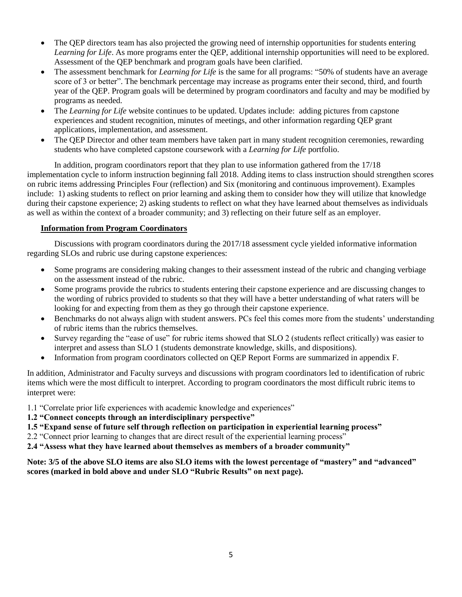- The QEP directors team has also projected the growing need of internship opportunities for students entering *Learning for Life*. As more programs enter the QEP, additional internship opportunities will need to be explored. Assessment of the QEP benchmark and program goals have been clarified.
- The assessment benchmark for *Learning for Life* is the same for all programs: "50% of students have an average score of 3 or better". The benchmark percentage may increase as programs enter their second, third, and fourth year of the QEP. Program goals will be determined by program coordinators and faculty and may be modified by programs as needed.
- The *Learning for Life* website continues to be updated. Updates include: adding pictures from capstone experiences and student recognition, minutes of meetings, and other information regarding QEP grant applications, implementation, and assessment.
- The QEP Director and other team members have taken part in many student recognition ceremonies, rewarding students who have completed capstone coursework with a *Learning for Life* portfolio.

In addition, program coordinators report that they plan to use information gathered from the 17/18 implementation cycle to inform instruction beginning fall 2018. Adding items to class instruction should strengthen scores on rubric items addressing Principles Four (reflection) and Six (monitoring and continuous improvement). Examples include: 1) asking students to reflect on prior learning and asking them to consider how they will utilize that knowledge during their capstone experience; 2) asking students to reflect on what they have learned about themselves as individuals as well as within the context of a broader community; and 3) reflecting on their future self as an employer.

### **Information from Program Coordinators**

Discussions with program coordinators during the 2017/18 assessment cycle yielded informative information regarding SLOs and rubric use during capstone experiences:

- Some programs are considering making changes to their assessment instead of the rubric and changing verbiage on the assessment instead of the rubric.
- Some programs provide the rubrics to students entering their capstone experience and are discussing changes to the wording of rubrics provided to students so that they will have a better understanding of what raters will be looking for and expecting from them as they go through their capstone experience.
- Benchmarks do not always align with student answers. PCs feel this comes more from the students' understanding of rubric items than the rubrics themselves.
- Survey regarding the "ease of use" for rubric items showed that SLO 2 (students reflect critically) was easier to interpret and assess than SLO 1 (students demonstrate knowledge, skills, and dispositions).
- Information from program coordinators collected on QEP Report Forms are summarized in appendix F.

In addition, Administrator and Faculty surveys and discussions with program coordinators led to identification of rubric items which were the most difficult to interpret. According to program coordinators the most difficult rubric items to interpret were:

- 1.1 "Correlate prior life experiences with academic knowledge and experiences"
- **1.2 "Connect concepts through an interdisciplinary perspective"**
- **1.5 "Expand sense of future self through reflection on participation in experiential learning process"**
- 2.2 "Connect prior learning to changes that are direct result of the experiential learning process"
- **2.4 "Assess what they have learned about themselves as members of a broader community"**

**Note: 3/5 of the above SLO items are also SLO items with the lowest percentage of "mastery" and "advanced" scores (marked in bold above and under SLO "Rubric Results" on next page).**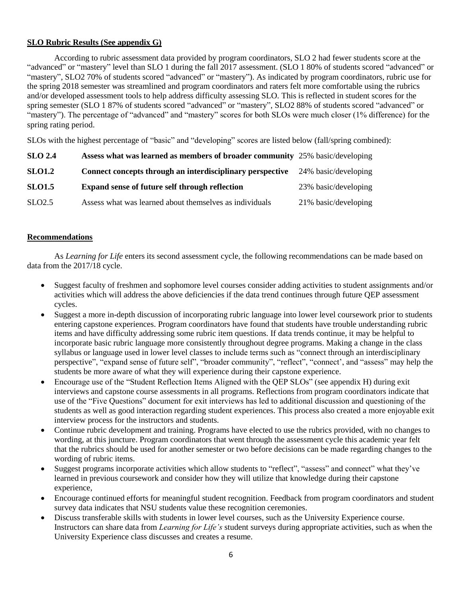### **SLO Rubric Results (See appendix G)**

According to rubric assessment data provided by program coordinators, SLO 2 had fewer students score at the "advanced" or "mastery" level than SLO 1 during the fall 2017 assessment. (SLO 1 80% of students scored "advanced" or "mastery", SLO2 70% of students scored "advanced" or "mastery"). As indicated by program coordinators, rubric use for the spring 2018 semester was streamlined and program coordinators and raters felt more comfortable using the rubrics and/or developed assessment tools to help address difficulty assessing SLO. This is reflected in student scores for the spring semester (SLO 1 87% of students scored "advanced" or "mastery", SLO2 88% of students scored "advanced" or "mastery"). The percentage of "advanced" and "mastery" scores for both SLOs were much closer (1% difference) for the spring rating period.

SLOs with the highest percentage of "basic" and "developing" scores are listed below (fall/spring combined):

| <b>SLO 2.4</b>     | Assess what was learned as members of broader community 25% basic/developing |                      |
|--------------------|------------------------------------------------------------------------------|----------------------|
| <b>SLO1.2</b>      | Connect concepts through an interdisciplinary perspective                    | 24% basic/developing |
| <b>SLO1.5</b>      | Expand sense of future self through reflection                               | 23% basic/developing |
| SLO <sub>2.5</sub> | Assess what was learned about themselves as individuals                      | 21% basic/developing |

### **Recommendations**

As *Learning for Life* enters its second assessment cycle, the following recommendations can be made based on data from the 2017/18 cycle.

- Suggest faculty of freshmen and sophomore level courses consider adding activities to student assignments and/or activities which will address the above deficiencies if the data trend continues through future QEP assessment cycles.
- Suggest a more in-depth discussion of incorporating rubric language into lower level coursework prior to students entering capstone experiences. Program coordinators have found that students have trouble understanding rubric items and have difficulty addressing some rubric item questions. If data trends continue, it may be helpful to incorporate basic rubric language more consistently throughout degree programs. Making a change in the class syllabus or language used in lower level classes to include terms such as "connect through an interdisciplinary perspective", "expand sense of future self", "broader community", "reflect", "connect', and "assess" may help the students be more aware of what they will experience during their capstone experience.
- Encourage use of the "Student Reflection Items Aligned with the QEP SLOs" (see appendix H) during exit interviews and capstone course assessments in all programs. Reflections from program coordinators indicate that use of the "Five Questions" document for exit interviews has led to additional discussion and questioning of the students as well as good interaction regarding student experiences. This process also created a more enjoyable exit interview process for the instructors and students.
- Continue rubric development and training. Programs have elected to use the rubrics provided, with no changes to wording, at this juncture. Program coordinators that went through the assessment cycle this academic year felt that the rubrics should be used for another semester or two before decisions can be made regarding changes to the wording of rubric items.
- Suggest programs incorporate activities which allow students to "reflect", "assess" and connect" what they've learned in previous coursework and consider how they will utilize that knowledge during their capstone experience,
- Encourage continued efforts for meaningful student recognition. Feedback from program coordinators and student survey data indicates that NSU students value these recognition ceremonies.
- Discuss transferable skills with students in lower level courses, such as the University Experience course. Instructors can share data from *Learning for Life's* student surveys during appropriate activities, such as when the University Experience class discusses and creates a resume.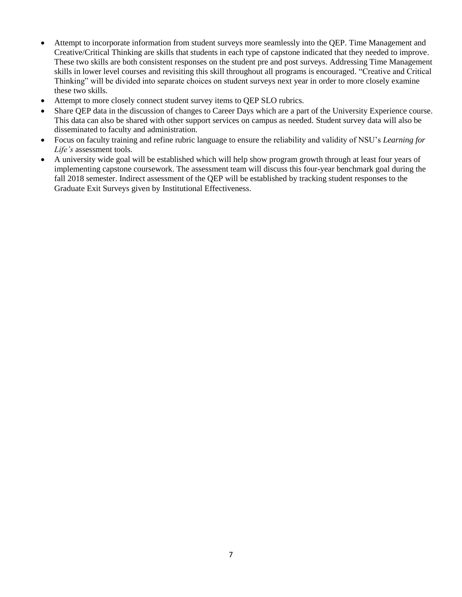- Attempt to incorporate information from student surveys more seamlessly into the QEP. Time Management and Creative/Critical Thinking are skills that students in each type of capstone indicated that they needed to improve. These two skills are both consistent responses on the student pre and post surveys. Addressing Time Management skills in lower level courses and revisiting this skill throughout all programs is encouraged. "Creative and Critical Thinking" will be divided into separate choices on student surveys next year in order to more closely examine these two skills.
- Attempt to more closely connect student survey items to QEP SLO rubrics.
- Share QEP data in the discussion of changes to Career Days which are a part of the University Experience course. This data can also be shared with other support services on campus as needed. Student survey data will also be disseminated to faculty and administration.
- Focus on faculty training and refine rubric language to ensure the reliability and validity of NSU's *Learning for Life's* assessment tools.
- A university wide goal will be established which will help show program growth through at least four years of implementing capstone coursework. The assessment team will discuss this four-year benchmark goal during the fall 2018 semester. Indirect assessment of the QEP will be established by tracking student responses to the Graduate Exit Surveys given by Institutional Effectiveness.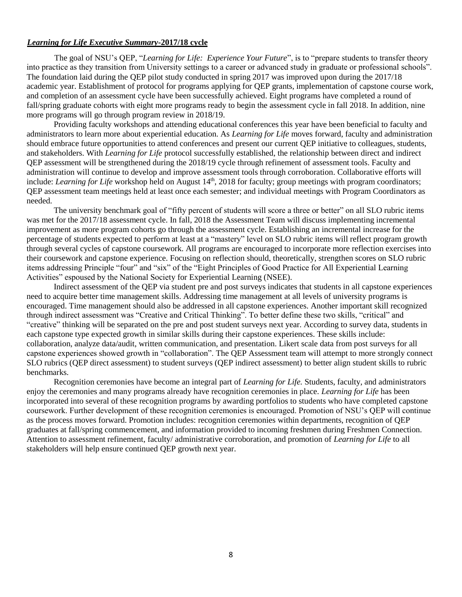### *Learning for Life Executive Summary***-2017/18 cycle**

The goal of NSU's QEP, "*Learning for Life: Experience Your Future*", is to "prepare students to transfer theory into practice as they transition from University settings to a career or advanced study in graduate or professional schools". The foundation laid during the QEP pilot study conducted in spring 2017 was improved upon during the 2017/18 academic year. Establishment of protocol for programs applying for QEP grants, implementation of capstone course work, and completion of an assessment cycle have been successfully achieved. Eight programs have completed a round of fall/spring graduate cohorts with eight more programs ready to begin the assessment cycle in fall 2018. In addition, nine more programs will go through program review in 2018/19.

Providing faculty workshops and attending educational conferences this year have been beneficial to faculty and administrators to learn more about experiential education. As *Learning for Life* moves forward, faculty and administration should embrace future opportunities to attend conferences and present our current QEP initiative to colleagues, students, and stakeholders. With *Learning for Life* protocol successfully established, the relationship between direct and indirect QEP assessment will be strengthened during the 2018/19 cycle through refinement of assessment tools. Faculty and administration will continue to develop and improve assessment tools through corroboration. Collaborative efforts will include: *Learning for Life* workshop held on August 14<sup>th</sup>, 2018 for faculty; group meetings with program coordinators; QEP assessment team meetings held at least once each semester; and individual meetings with Program Coordinators as needed.

The university benchmark goal of "fifty percent of students will score a three or better" on all SLO rubric items was met for the 2017/18 assessment cycle. In fall, 2018 the Assessment Team will discuss implementing incremental improvement as more program cohorts go through the assessment cycle. Establishing an incremental increase for the percentage of students expected to perform at least at a "mastery" level on SLO rubric items will reflect program growth through several cycles of capstone coursework. All programs are encouraged to incorporate more reflection exercises into their coursework and capstone experience. Focusing on reflection should, theoretically, strengthen scores on SLO rubric items addressing Principle "four" and "six" of the "Eight Principles of Good Practice for All Experiential Learning Activities" espoused by the National Society for Experiential Learning (NSEE).

Indirect assessment of the QEP via student pre and post surveys indicates that students in all capstone experiences need to acquire better time management skills. Addressing time management at all levels of university programs is encouraged. Time management should also be addressed in all capstone experiences. Another important skill recognized through indirect assessment was "Creative and Critical Thinking". To better define these two skills, "critical" and "creative" thinking will be separated on the pre and post student surveys next year. According to survey data, students in each capstone type expected growth in similar skills during their capstone experiences. These skills include: collaboration, analyze data/audit, written communication, and presentation. Likert scale data from post surveys for all capstone experiences showed growth in "collaboration". The QEP Assessment team will attempt to more strongly connect SLO rubrics (QEP direct assessment) to student surveys (QEP indirect assessment) to better align student skills to rubric benchmarks.

Recognition ceremonies have become an integral part of *Learning for Life.* Students, faculty, and administrators enjoy the ceremonies and many programs already have recognition ceremonies in place*. Learning for Life* has been incorporated into several of these recognition programs by awarding portfolios to students who have completed capstone coursework. Further development of these recognition ceremonies is encouraged. Promotion of NSU's QEP will continue as the process moves forward. Promotion includes: recognition ceremonies within departments, recognition of QEP graduates at fall/spring commencement, and information provided to incoming freshmen during Freshmen Connection. Attention to assessment refinement, faculty/ administrative corroboration, and promotion of *Learning for Life* to all stakeholders will help ensure continued QEP growth next year.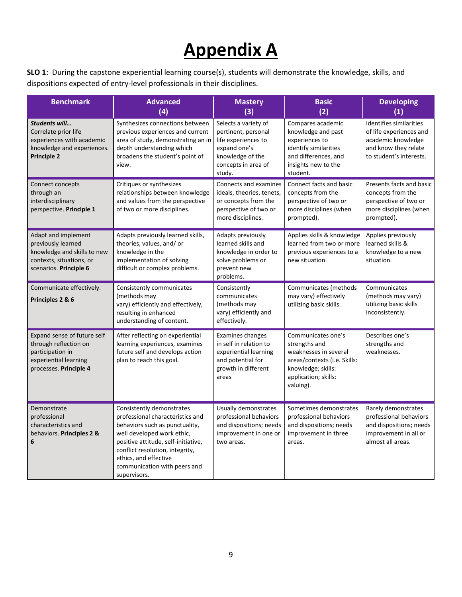# **Appendix A**

**SLO 1**: During the capstone experiential learning course(s), students will demonstrate the knowledge, skills, and dispositions expected of entry-level professionals in their disciplines.

| <b>Benchmark</b>                                                                                                               | <b>Advanced</b><br>(4)                                                                                                                                                                                                                                                           | <b>Mastery</b><br>(3)                                                                                                                   | <b>Basic</b><br>(2)                                                                                                                                     | <b>Developing</b><br>(1)                                                                                                    |
|--------------------------------------------------------------------------------------------------------------------------------|----------------------------------------------------------------------------------------------------------------------------------------------------------------------------------------------------------------------------------------------------------------------------------|-----------------------------------------------------------------------------------------------------------------------------------------|---------------------------------------------------------------------------------------------------------------------------------------------------------|-----------------------------------------------------------------------------------------------------------------------------|
| Students will<br>Correlate prior life<br>experiences with academic<br>knowledge and experiences.<br><b>Principle 2</b>         | Synthesizes connections between<br>previous experiences and current<br>area of study, demonstrating an in<br>depth understanding which<br>broadens the student's point of<br>view.                                                                                               | Selects a variety of<br>pertinent, personal<br>life experiences to<br>expand one's<br>knowledge of the<br>concepts in area of<br>study. | Compares academic<br>knowledge and past<br>experiences to<br>identify similarities<br>and differences, and<br>insights new to the<br>student.           | Identifies similarities<br>of life experiences and<br>academic knowledge<br>and know they relate<br>to student's interests. |
| Connect concepts<br>through an<br>interdisciplinary<br>perspective. Principle 1                                                | Critiques or synthesizes<br>relationships between knowledge<br>and values from the perspective<br>of two or more disciplines.                                                                                                                                                    | Connects and examines<br>ideals, theories, tenets,<br>or concepts from the<br>perspective of two or<br>more disciplines.                | Connect facts and basic<br>concepts from the<br>perspective of two or<br>more disciplines (when<br>prompted).                                           | Presents facts and basic<br>concepts from the<br>perspective of two or<br>more disciplines (when<br>prompted).              |
| Adapt and implement<br>previously learned<br>knowledge and skills to new<br>contexts, situations, or<br>scenarios. Principle 6 | Adapts previously learned skills,<br>theories, values, and/or<br>knowledge in the<br>implementation of solving<br>difficult or complex problems.                                                                                                                                 | Adapts previously<br>learned skills and<br>knowledge in order to<br>solve problems or<br>prevent new<br>problems.                       | Applies skills & knowledge<br>learned from two or more<br>previous experiences to a<br>new situation.                                                   | Applies previously<br>learned skills &<br>knowledge to a new<br>situation.                                                  |
| Communicate effectively.<br>Principles 2 & 6                                                                                   | Consistently communicates<br>(methods may<br>vary) efficiently and effectively,<br>resulting in enhanced<br>understanding of content.                                                                                                                                            | Consistently<br>communicates<br>(methods may<br>vary) efficiently and<br>effectively.                                                   | Communicates (methods<br>may vary) effectively<br>utilizing basic skills.                                                                               | Communicates<br>(methods may vary)<br>utilizing basic skills<br>inconsistently.                                             |
| Expand sense of future self<br>through reflection on<br>participation in<br>experiential learning<br>processes. Principle 4    | After reflecting on experiential<br>learning experiences, examines<br>future self and develops action<br>plan to reach this goal.                                                                                                                                                | <b>Examines changes</b><br>in self in relation to<br>experiential learning<br>and potential for<br>growth in different<br>areas         | Communicates one's<br>strengths and<br>weaknesses in several<br>areas/contexts (i.e. Skills:<br>knowledge; skills:<br>application; skills:<br>valuing). | Describes one's<br>strengths and<br>weaknesses.                                                                             |
| Demonstrate<br>professional<br>characteristics and<br>behaviors. Principles 2 &<br>6                                           | Consistently demonstrates<br>professional characteristics and<br>behaviors such as punctuality,<br>well developed work ethic,<br>positive attitude, self-initiative,<br>conflict resolution, integrity,<br>ethics, and effective<br>communication with peers and<br>supervisors. | Usually demonstrates<br>professional behaviors<br>and dispositions; needs<br>improvement in one or<br>two areas.                        | Sometimes demonstrates<br>professional behaviors<br>and dispositions; needs<br>improvement in three<br>areas.                                           | Rarely demonstrates<br>professional behaviors<br>and dispositions; needs<br>improvement in all or<br>almost all areas.      |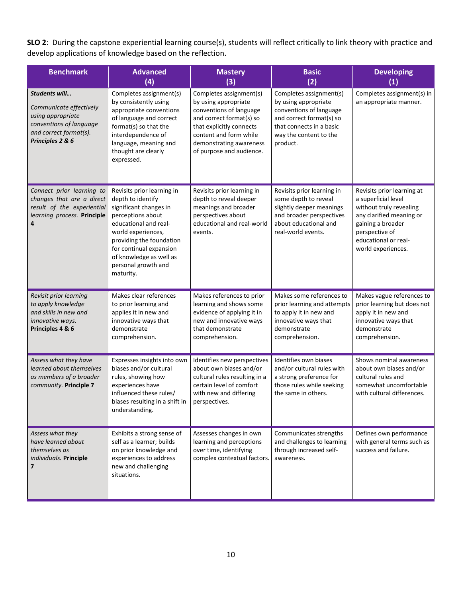**SLO 2**: During the capstone experiential learning course(s), students will reflect critically to link theory with practice and develop applications of knowledge based on the reflection.

| <b>Benchmark</b>                                                                                                                       | <b>Advanced</b><br>(4)                                                                                                                                                                                                                                              | <b>Mastery</b><br>(3)                                                                                                                                                                                               | <b>Basic</b><br>(2)                                                                                                                                                      | <b>Developing</b><br>(1)                                                                                                                                                                      |
|----------------------------------------------------------------------------------------------------------------------------------------|---------------------------------------------------------------------------------------------------------------------------------------------------------------------------------------------------------------------------------------------------------------------|---------------------------------------------------------------------------------------------------------------------------------------------------------------------------------------------------------------------|--------------------------------------------------------------------------------------------------------------------------------------------------------------------------|-----------------------------------------------------------------------------------------------------------------------------------------------------------------------------------------------|
| Students will<br>Communicate effectively<br>using appropriate<br>conventions of language<br>and correct format(s).<br>Principles 2 & 6 | Completes assignment(s)<br>by consistently using<br>appropriate conventions<br>of language and correct<br>format(s) so that the<br>interdependence of<br>language, meaning and<br>thought are clearly<br>expressed.                                                 | Completes assignment(s)<br>by using appropriate<br>conventions of language<br>and correct format(s) so<br>that explicitly connects<br>content and form while<br>demonstrating awareness<br>of purpose and audience. | Completes assignment(s)<br>by using appropriate<br>conventions of language<br>and correct format(s) so<br>that connects in a basic<br>way the content to the<br>product. | Completes assignment(s) in<br>an appropriate manner.                                                                                                                                          |
| Connect prior learning to<br>changes that are a direct<br>result of the experiential<br>learning process. Principle                    | Revisits prior learning in<br>depth to identify<br>significant changes in<br>perceptions about<br>educational and real-<br>world experiences,<br>providing the foundation<br>for continual expansion<br>of knowledge as well as<br>personal growth and<br>maturity. | Revisits prior learning in<br>depth to reveal deeper<br>meanings and broader<br>perspectives about<br>educational and real-world<br>events.                                                                         | Revisits prior learning in<br>some depth to reveal<br>slightly deeper meanings<br>and broader perspectives<br>about educational and<br>real-world events.                | Revisits prior learning at<br>a superficial level<br>without truly revealing<br>any clarified meaning or<br>gaining a broader<br>perspective of<br>educational or real-<br>world experiences. |
| Revisit prior learning<br>to apply knowledge<br>and skills in new and<br>innovative ways.<br>Principles 4 & 6                          | Makes clear references<br>to prior learning and<br>applies it in new and<br>innovative ways that<br>demonstrate<br>comprehension.                                                                                                                                   | Makes references to prior<br>learning and shows some<br>evidence of applying it in<br>new and innovative ways<br>that demonstrate<br>comprehension.                                                                 | Makes some references to<br>prior learning and attempts<br>to apply it in new and<br>innovative ways that<br>demonstrate<br>comprehension.                               | Makes vague references to<br>prior learning but does not<br>apply it in new and<br>innovative ways that<br>demonstrate<br>comprehension.                                                      |
| Assess what they have<br>learned about themselves<br>as members of a broader<br>community. Principle 7                                 | Expresses insights into own<br>biases and/or cultural<br>rules, showing how<br>experiences have<br>influenced these rules/<br>biases resulting in a shift in $\vert$ perspectives.<br>understanding.                                                                | Identifies new perspectives<br>about own biases and/or<br>cultural rules resulting in a<br>certain level of comfort<br>with new and differing                                                                       | Identifies own biases<br>and/or cultural rules with<br>a strong preference for<br>those rules while seeking<br>the same in others.                                       | Shows nominal awareness<br>about own biases and/or<br>cultural rules and<br>somewhat uncomfortable<br>with cultural differences.                                                              |
| Assess what they<br>have learned about<br>themselves as<br>individuals. Principle<br>7                                                 | Exhibits a strong sense of<br>self as a learner; builds<br>on prior knowledge and<br>experiences to address<br>new and challenging<br>situations.                                                                                                                   | Assesses changes in own<br>learning and perceptions<br>over time, identifying<br>complex contextual factors.                                                                                                        | Communicates strengths<br>and challenges to learning<br>through increased self-<br>awareness.                                                                            | Defines own performance<br>with general terms such as<br>success and failure.                                                                                                                 |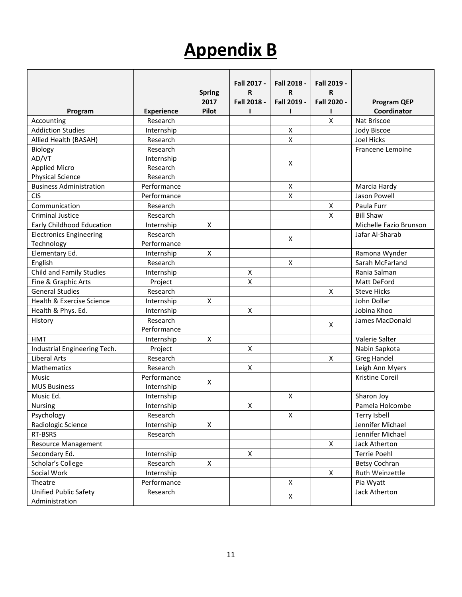# **Appendix B**

| Program                         | <b>Experience</b> | <b>Spring</b><br>2017<br>Pilot | Fall 2017 -<br>R<br>Fall 2018 -<br>ı | Fall 2018 -<br>R<br>Fall 2019 -<br>п | Fall 2019 -<br>R<br>Fall 2020 -<br>ı | <b>Program QEP</b><br>Coordinator |
|---------------------------------|-------------------|--------------------------------|--------------------------------------|--------------------------------------|--------------------------------------|-----------------------------------|
| Accounting                      | Research          |                                |                                      |                                      | $\pmb{\mathsf{X}}$                   | Nat Briscoe                       |
| <b>Addiction Studies</b>        | Internship        |                                |                                      | X                                    |                                      | Jody Biscoe                       |
| Allied Health (BASAH)           | Research          |                                |                                      | X                                    |                                      | Joel Hicks                        |
| Biology                         | Research          |                                |                                      |                                      |                                      | Francene Lemoine                  |
| AD/VT                           | Internship        |                                |                                      |                                      |                                      |                                   |
| <b>Applied Micro</b>            | Research          |                                |                                      | X                                    |                                      |                                   |
| <b>Physical Science</b>         | Research          |                                |                                      |                                      |                                      |                                   |
| <b>Business Administration</b>  | Performance       |                                |                                      | X                                    |                                      | Marcia Hardy                      |
| <b>CIS</b>                      | Performance       |                                |                                      | $\pmb{\mathsf{X}}$                   |                                      | Jason Powell                      |
| Communication                   | Research          |                                |                                      |                                      | X                                    | Paula Furr                        |
| <b>Criminal Justice</b>         | Research          |                                |                                      |                                      | X                                    | <b>Bill Shaw</b>                  |
| Early Childhood Education       | Internship        | X                              |                                      |                                      |                                      | Michelle Fazio Brunson            |
| <b>Electronics Engineering</b>  | Research          |                                |                                      |                                      |                                      | Jafar Al-Sharab                   |
| Technology                      | Performance       |                                |                                      | X                                    |                                      |                                   |
| Elementary Ed.                  | Internship        | X                              |                                      |                                      |                                      | Ramona Wynder                     |
| English                         | Research          |                                |                                      | X                                    |                                      | Sarah McFarland                   |
| <b>Child and Family Studies</b> | Internship        |                                | X                                    |                                      |                                      | Rania Salman                      |
| Fine & Graphic Arts             | Project           |                                | X                                    |                                      |                                      | Matt DeFord                       |
| <b>General Studies</b>          | Research          |                                |                                      |                                      | X                                    | <b>Steve Hicks</b>                |
| Health & Exercise Science       | Internship        | X                              |                                      |                                      |                                      | John Dollar                       |
| Health & Phys. Ed.              | Internship        |                                | X                                    |                                      |                                      | Jobina Khoo                       |
| History                         | Research          |                                |                                      |                                      |                                      | James MacDonald                   |
|                                 | Performance       |                                |                                      |                                      | X                                    |                                   |
| <b>HMT</b>                      | Internship        | X                              |                                      |                                      |                                      | Valerie Salter                    |
| Industrial Engineering Tech.    | Project           |                                | X                                    |                                      |                                      | Nabin Sapkota                     |
| <b>Liberal Arts</b>             | Research          |                                |                                      |                                      | $\pmb{\mathsf{X}}$                   | <b>Greg Handel</b>                |
| <b>Mathematics</b>              | Research          |                                | X                                    |                                      |                                      | Leigh Ann Myers                   |
| Music                           | Performance       | X                              |                                      |                                      |                                      | Kristine Coreil                   |
| <b>MUS Business</b>             | Internship        |                                |                                      |                                      |                                      |                                   |
| Music Ed.                       | Internship        |                                |                                      | Χ                                    |                                      | Sharon Joy                        |
| Nursing                         | Internship        |                                | Χ                                    |                                      |                                      | Pamela Holcombe                   |
| Psychology                      | Research          |                                |                                      | X                                    |                                      | Terry Isbell                      |
| Radiologic Science              | Internship        | X                              |                                      |                                      |                                      | Jennifer Michael                  |
| RT-BSRS                         | Research          |                                |                                      |                                      |                                      | Jennifer Michael                  |
| <b>Resource Management</b>      |                   |                                |                                      |                                      | X                                    | Jack Atherton                     |
| Secondary Ed.                   | Internship        |                                | X                                    |                                      |                                      | <b>Terrie Poehl</b>               |
| Scholar's College               | Research          | X                              |                                      |                                      |                                      | <b>Betsy Cochran</b>              |
| Social Work                     | Internship        |                                |                                      |                                      | X                                    | Ruth Weinzettle                   |
| Theatre                         | Performance       |                                |                                      | X                                    |                                      | Pia Wyatt                         |
| Unified Public Safety           | Research          |                                |                                      | X                                    |                                      | Jack Atherton                     |
| Administration                  |                   |                                |                                      |                                      |                                      |                                   |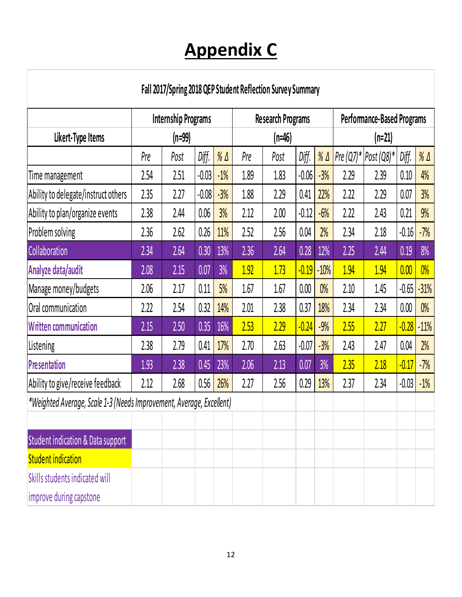# **Appendix C**

## **Fall 2017/Spring 2018 QEP Student Reflection Survey Summary**

|                                                                      | <b>Internship Programs</b> |          |         | <b>Research Programs</b> |      |        | Performance-Based Programs |              |          |                        |         |              |
|----------------------------------------------------------------------|----------------------------|----------|---------|--------------------------|------|--------|----------------------------|--------------|----------|------------------------|---------|--------------|
| Likert-Type Items                                                    |                            | $(n=99)$ |         |                          |      | (n=46) |                            |              | $(n=21)$ |                        |         |              |
|                                                                      | Pre                        | Post     | Diff.   | $%$ $\Delta$             | Pre  | Post   | Diff.                      | $%$ $\Delta$ |          | Pre (Q7)*   Post (Q8)* | Diff.   | $%$ $\Delta$ |
| Time management                                                      | 2.54                       | 2.51     | -0.03   | $-1%$                    | 1.89 | 1.83   | $-0.06$                    | $-3%$        | 2.29     | 2.39                   | 0.10    | 4%           |
| Ability to delegate/instruct others                                  | 2.35                       | 2.27     | $-0.08$ | $-3%$                    | 1.88 | 2.29   | 0.41                       | 22%          | 2.22     | 2.29                   | 0.07    | 3%           |
| Ability to plan/organize events                                      | 2.38                       | 2.44     | 0.06    | 3%                       | 2.12 | 2.00   | $-0.12$                    | $-6%$        | 2.22     | 2.43                   | 0.21    | 9%           |
| Problem solving                                                      | 2.36                       | 2.62     | 0.26    | 11%                      | 2.52 | 2.56   | 0.04                       | 2%           | 2.34     | 2.18                   | $-0.16$ | $-7%$        |
| Collaboration                                                        | 2.34                       | 2.64     | 0.30    | 13%                      | 2.36 | 2.64   | 0.28                       | 12%          | 2.25     | 2.44                   | 0.19    | 8%           |
| Analyze data/audit                                                   | 2.08                       | 2.15     | 0.07    | 3%                       | 1.92 | 1.73   | $-0.19$                    | $-10%$       | 1.94     | 1.94                   | 0.00    | $0\%$        |
| Manage money/budgets                                                 | 2.06                       | 2.17     | 0.11    | 5%                       | 1.67 | 1.67   | 0.00                       | $0\%$        | 2.10     | 1.45                   | $-0.65$ | $-31%$       |
| Oral communication                                                   | 2.22                       | 2.54     | 0.32    | 14%                      | 2.01 | 2.38   | 0.37                       | 18%          | 2.34     | 2.34                   | 0.00    | $0\%$        |
| <b>Written communication</b>                                         | 2.15                       | 2.50     | 0.35    | 16%                      | 2.53 | 2.29   | $-0.24$                    | $-9%$        | 2.55     | 2.27                   | $-0.28$ | $-11%$       |
| Listening                                                            | 2.38                       | 2.79     | 0.41    | 17%                      | 2.70 | 2.63   | $-0.07$                    | $-3%$        | 2.43     | 2.47                   | 0.04    | 2%           |
| <b>Presentation</b>                                                  | 1.93                       | 2.38     | 0.45    | 23%                      | 2.06 | 2.13   | 0.07                       | 3%           | 2.35     | 2.18                   | $-0.17$ | $-7%$        |
| Ability to give/receive feedback                                     | 2.12                       | 2.68     | 0.56    | 26%                      | 2.27 | 2.56   | 0.29                       | 13%          | 2.37     | 2.34                   | $-0.03$ | $-1%$        |
| *Weighted Average, Scale 1-3 (Needs Improvement, Average, Excellent) |                            |          |         |                          |      |        |                            |              |          |                        |         |              |
|                                                                      |                            |          |         |                          |      |        |                            |              |          |                        |         |              |
| <b>Student indication &amp; Data support</b>                         |                            |          |         |                          |      |        |                            |              |          |                        |         |              |
| <b>Student indication</b>                                            |                            |          |         |                          |      |        |                            |              |          |                        |         |              |
| Skills students indicated will                                       |                            |          |         |                          |      |        |                            |              |          |                        |         |              |
| improve during capstone                                              |                            |          |         |                          |      |        |                            |              |          |                        |         |              |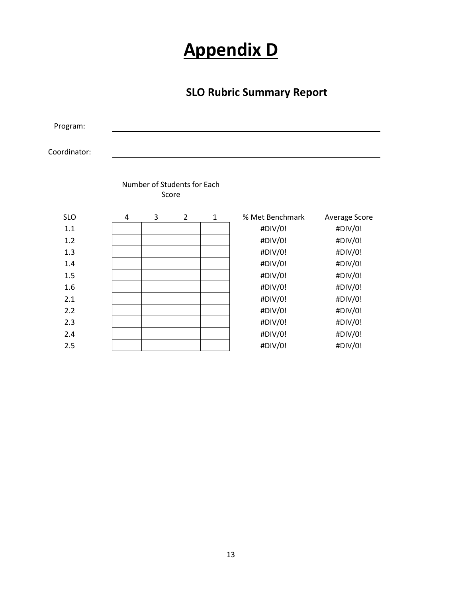# **Appendix D**

### **SLO Rubric Summary Report**

Program:

Coordinator:

|            |   | Number of Students for Each | Score |   |                 |               |
|------------|---|-----------------------------|-------|---|-----------------|---------------|
| <b>SLO</b> | 4 | 3                           | 2     | 1 | % Met Benchmark | Average Score |
| 1.1        |   |                             |       |   | #DIV/0!         | #DIV/0!       |
| 1.2        |   |                             |       |   | #DIV/0!         | #DIV/0!       |
| 1.3        |   |                             |       |   | #DIV/0!         | #DIV/0!       |
| 1.4        |   |                             |       |   | #DIV/0!         | #DIV/0!       |
| 1.5        |   |                             |       |   | #DIV/0!         | #DIV/0!       |
| 1.6        |   |                             |       |   | #DIV/0!         | #DIV/0!       |
| 2.1        |   |                             |       |   | #DIV/0!         | #DIV/0!       |
| 2.2        |   |                             |       |   | #DIV/0!         | #DIV/0!       |
| 2.3        |   |                             |       |   | #DIV/0!         | #DIV/0!       |
| 2.4        |   |                             |       |   | #DIV/0!         | #DIV/0!       |
| 2.5        |   |                             |       |   | #DIV/0!         | #DIV/0!       |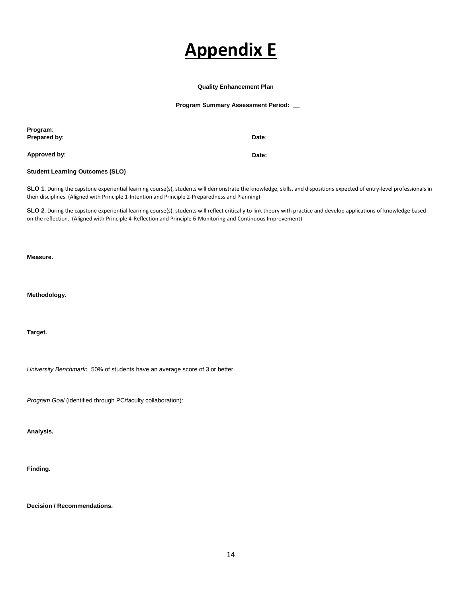## **Appendix E**

#### **Quality Enhancement Plan**

**Program Summary Assessment Period: \_\_** 

| Program:<br>Prepared by:               | Date: |
|----------------------------------------|-------|
| Approved by:                           | Date: |
| <b>Student Learning Outcomes (SLO)</b> |       |

SLO 1. During the capstone experiential learning course(s), students will demonstrate the knowledge, skills, and dispositions expected of entry-level professionals in their disciplines. (Aligned with Principle 1-Intention and Principle 2-Preparedness and Planning)

SLO 2. During the capstone experiential learning course(s), students will reflect critically to link theory with practice and develop applications of knowledge based on the reflection. (Aligned with Principle 4-Reflection and Principle 6-Monitoring and Continuous Improvement)

**Measure.**

**Methodology.** 

**Target.** 

*University Benchmark***:** 50% of students have an average score of 3 or better.

*Program Goal* (identified through PC/faculty collaboration):

**Analysis.**

**Finding.**

**Decision / Recommendations.**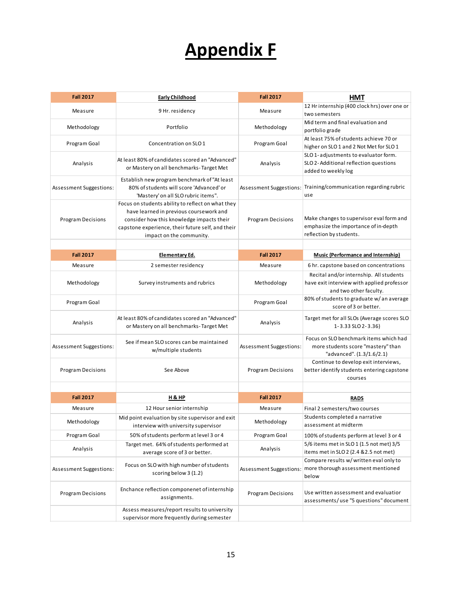# **Appendix F**

| <b>Fall 2017</b>         | Early Childhood                                                                                                                                                                                                            | <b>Fall 2017</b>         | <b>HMT</b>                                                                                                      |
|--------------------------|----------------------------------------------------------------------------------------------------------------------------------------------------------------------------------------------------------------------------|--------------------------|-----------------------------------------------------------------------------------------------------------------|
| Measure                  | 9 Hr. residency                                                                                                                                                                                                            | Measure                  | 12 Hr internship (400 clock hrs) over one or                                                                    |
|                          |                                                                                                                                                                                                                            |                          | two semesters                                                                                                   |
| Methodology              | Portfolio                                                                                                                                                                                                                  | Methodology              | Mid term and final evaluation and<br>portfolio grade                                                            |
| Program Goal             | Concentration on SLO 1                                                                                                                                                                                                     | Program Goal             | At least 75% of students achieve 70 or<br>higher on SLO1 and 2 Not Met for SLO1                                 |
|                          |                                                                                                                                                                                                                            |                          | SLO 1-adjustments to evaluator form.                                                                            |
| Analysis                 | At least 80% of candidates scored an "Advanced"<br>or Mastery on all benchmarks-Target Met                                                                                                                                 | Analysis                 | SLO 2-Additional reflection questions<br>added to weekly log                                                    |
| Assessment Suggestions:  | Establish new program benchmark of "At least<br>80% of students will score 'Advanced' or<br>'Mastery' on all SLO rubric items".                                                                                            | Assessment Suggestions:  | Training/communication regarding rubric<br>use                                                                  |
| <b>Program Decisions</b> | Focus on students ability to reflect on what they<br>have learned in previous coursework and<br>consider how this knowledge impacts their<br>capstone experience, their future self, and their<br>impact on the community. | <b>Program Decisions</b> | Make changes to supervisor eval form and<br>emphasize the importance of in-depth<br>reflection by students.     |
|                          |                                                                                                                                                                                                                            |                          |                                                                                                                 |
| <b>Fall 2017</b>         | Elementary Ed.                                                                                                                                                                                                             | <b>Fall 2017</b>         | Music (Performance and Internship)                                                                              |
| Measure                  | 2 semester residency                                                                                                                                                                                                       | Measure                  | 6 hr. capstone based on concentrations                                                                          |
| Methodology              | Survey instruments and rubrics                                                                                                                                                                                             | Methodology              | Recital and/or internship. All students<br>have exit interview with applied professor<br>and two other faculty. |
| Program Goal             |                                                                                                                                                                                                                            | Program Goal             | 80% of students to graduate w/an average<br>score of 3 or better.                                               |
| Analysis                 | At least 80% of candidates scored an "Advanced"<br>or Mastery on all benchmarks-Target Met                                                                                                                                 | Analysis                 | Target met for all SLOs (Average scores SLO<br>1-3.33 SLO 2-3.36)                                               |
| Assessment Suggestions:  | See if mean SLO scores can be maintained<br>w/multiple students                                                                                                                                                            | Assessment Suggestions:  | Focus on SLO benchmark items which had<br>more students score "mastery" than<br>"advanced". (1.3/1.6/2.1)       |
| <b>Program Decisions</b> | See Above                                                                                                                                                                                                                  | <b>Program Decisions</b> | Continue to develop exit interviews,<br>better identify students entering capstone<br>courses                   |
|                          |                                                                                                                                                                                                                            |                          |                                                                                                                 |
| <b>Fall 2017</b>         | <b>H &amp; HP</b>                                                                                                                                                                                                          | <b>Fall 2017</b>         | <b>RADS</b>                                                                                                     |
| Measure                  | 12 Hour senior internship                                                                                                                                                                                                  | Measure                  | Final 2 semesters/two courses                                                                                   |
| Methodology              | Mid point evaluation by site supervisor and exit<br>interview with university supervisor                                                                                                                                   | Methodology              | Students completed a narrative<br>assessment at midterm                                                         |
| Program Goal             | 50% of students perform at level 3 or 4                                                                                                                                                                                    | Program Goal             | 100% of students perform at level 3 or 4                                                                        |
| Analysis                 | Target met. 64% of students performed at<br>average score of 3 or better.                                                                                                                                                  | Analysis                 | 5/6 items met in SLO 1 (1.5 not met) 3/5<br>items met in SLO 2 (2.4 & 2.5 not met)                              |
| Assessment Suggestions:  | Focus on SLO with high number of students<br>scoring below 3 (1.2)                                                                                                                                                         | Assessment Suggestions:  | Compare results w/ written eval only to<br>more thorough assessment mentioned<br>below                          |
| <b>Program Decisions</b> | Enchance reflection componenet of internship<br>assignments.                                                                                                                                                               | <b>Program Decisions</b> | Use written assessment and evaluatior<br>assessments/use "5 questions" document                                 |
|                          | Assess measures/report results to university<br>supervisor more frequently during semester                                                                                                                                 |                          |                                                                                                                 |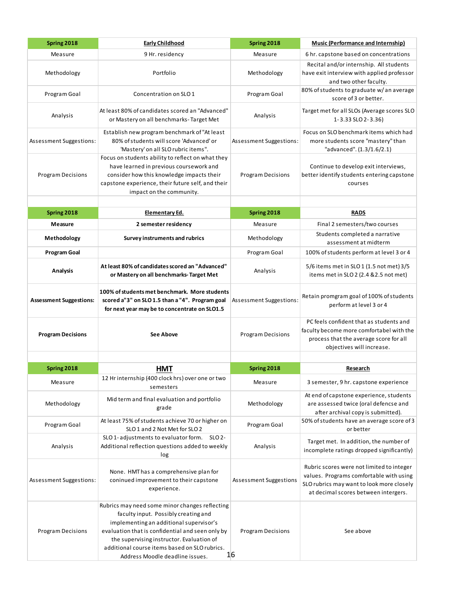| Spring 2018                    | <b>Early Childhood</b>                                                                                                                                                                                                                                                                                                 | Spring 2018                    | <b>Music (Performance and Internship)</b>                                                                                                                                 |
|--------------------------------|------------------------------------------------------------------------------------------------------------------------------------------------------------------------------------------------------------------------------------------------------------------------------------------------------------------------|--------------------------------|---------------------------------------------------------------------------------------------------------------------------------------------------------------------------|
| Measure                        | 9 Hr. residency                                                                                                                                                                                                                                                                                                        | Measure                        | 6 hr. capstone based on concentrations                                                                                                                                    |
| Methodology                    | Portfolio                                                                                                                                                                                                                                                                                                              | Methodology                    | Recital and/or internship. All students<br>have exit interview with applied professor<br>and two other faculty.                                                           |
| Program Goal                   | Concentration on SLO 1                                                                                                                                                                                                                                                                                                 | Program Goal                   | 80% of students to graduate w/an average<br>score of 3 or better.                                                                                                         |
| Analysis                       | At least 80% of candidates scored an "Advanced"<br>or Mastery on all benchmarks-Target Met                                                                                                                                                                                                                             | Analysis                       | Target met for all SLOs (Average scores SLO<br>1-3.33 SLO 2-3.36)                                                                                                         |
| Assessment Suggestions:        | Establish new program benchmark of "At least<br>80% of students will score 'Advanced' or<br>'Mastery' on all SLO rubric items".                                                                                                                                                                                        | Assessment Suggestions:        | Focus on SLO benchmark items which had<br>more students score "mastery" than<br>"advanced". (1.3/1.6/2.1)                                                                 |
| <b>Program Decisions</b>       | Focus on students ability to reflect on what they<br>have learned in previous coursework and<br>consider how this knowledge impacts their<br>capstone experience, their future self, and their<br>impact on the community.                                                                                             | <b>Program Decisions</b>       | Continue to develop exit interviews,<br>better identify students entering capstone<br>courses                                                                             |
|                                |                                                                                                                                                                                                                                                                                                                        |                                |                                                                                                                                                                           |
| Spring 2018                    | Elementary Ed.                                                                                                                                                                                                                                                                                                         | Spring 2018                    | <b>RADS</b>                                                                                                                                                               |
| Measure                        | 2 semester residency                                                                                                                                                                                                                                                                                                   | Measure                        | Final 2 semesters/two courses                                                                                                                                             |
| Methodology                    | Survey instruments and rubrics                                                                                                                                                                                                                                                                                         | Methodology                    | Students completed a narrative<br>assessment at midterm                                                                                                                   |
| <b>Program Goal</b>            |                                                                                                                                                                                                                                                                                                                        | Program Goal                   | 100% of students perform at level 3 or 4                                                                                                                                  |
| <b>Analysis</b>                | At least 80% of candidates scored an "Advanced"<br>or Mastery on all benchmarks-Target Met                                                                                                                                                                                                                             | Analysis                       | 5/6 items met in SLO 1 (1.5 not met) 3/5<br>items met in SLO 2 (2.4 & 2.5 not met)                                                                                        |
| <b>Assessment Suggestions:</b> | 100% of students met benchmark. More students<br>scored a"3" on SLO 1.5 than a "4". Program goal<br>for next year may be to concentrate on SLO1.5                                                                                                                                                                      | Assessment Suggestions:        | Retain promgram goal of 100% of students<br>perform at level 3 or 4                                                                                                       |
| <b>Program Decisions</b>       | <b>See Above</b>                                                                                                                                                                                                                                                                                                       | <b>Program Decisions</b>       | PC feels confident that as students and<br>faculty become more comfortabel with the<br>process that the average score for all<br>objectives will increase.                |
|                                |                                                                                                                                                                                                                                                                                                                        |                                |                                                                                                                                                                           |
| Spring 2018                    | <b>HMT</b>                                                                                                                                                                                                                                                                                                             | Spring 2018                    | <b>Research</b>                                                                                                                                                           |
| Measure                        | 12 Hr internship (400 clock hrs) over one or two<br>semesters                                                                                                                                                                                                                                                          | Measure                        | 3 semester, 9 hr. capstone experience                                                                                                                                     |
| Methodology                    | Mid term and final evaluation and portfolio<br>grade                                                                                                                                                                                                                                                                   | Methodology                    | At end of capstone experience, students<br>are assessed twice (oral defencse and<br>after archival copy is submitted).                                                    |
| Program Goal                   | At least 75% of students achieve 70 or higher on<br>SLO 1 and 2 Not Met for SLO 2                                                                                                                                                                                                                                      | Program Goal                   | 50% of students have an average score of 3<br>or better                                                                                                                   |
| Analysis                       | SLO 1-adjustments to evaluator form. SLO 2-<br>Additional reflection questions added to weekly<br>log                                                                                                                                                                                                                  | Analysis                       | Target met. In addition, the number of<br>incomplete ratings dropped significantly)                                                                                       |
| Assessment Suggestions:        | None. HMT has a comprehensive plan for<br>coninued improvement to their capstone<br>experience.                                                                                                                                                                                                                        | Assessment Suggestions         | Rubric scores were not limited to integer<br>values. Programs comfortable with using<br>SLO rubrics may want to look more closely<br>at decimal scores between intergers. |
| <b>Program Decisions</b>       | Rubrics may need some minor changes reflecting<br>faculty input. Possibly creating and<br>implementing an additional supervisor's<br>evaluation that is confidential and seen only by<br>the supervising instructor. Evaluation of<br>additional course items based on SLO rubrics.<br>Address Moodle deadline issues. | <b>Program Decisions</b><br>16 | See above                                                                                                                                                                 |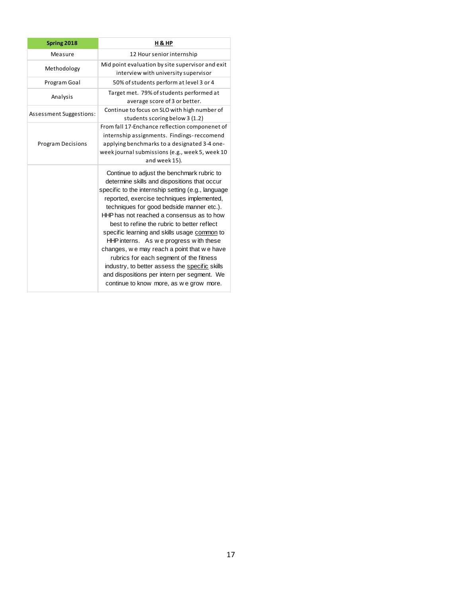| Spring 2018              | <b>H &amp; HP</b>                                                                                                                                                                                                                                                                                                                                                                                                                                                                                                                                                                                                                                                      |
|--------------------------|------------------------------------------------------------------------------------------------------------------------------------------------------------------------------------------------------------------------------------------------------------------------------------------------------------------------------------------------------------------------------------------------------------------------------------------------------------------------------------------------------------------------------------------------------------------------------------------------------------------------------------------------------------------------|
| Measure                  | 12 Hour senior internship                                                                                                                                                                                                                                                                                                                                                                                                                                                                                                                                                                                                                                              |
| Methodology              | Mid point evaluation by site supervisor and exit<br>interview with university supervisor                                                                                                                                                                                                                                                                                                                                                                                                                                                                                                                                                                               |
| Program Goal             | 50% of students perform at level 3 or 4                                                                                                                                                                                                                                                                                                                                                                                                                                                                                                                                                                                                                                |
| Analysis                 | Target met. 79% of students performed at<br>average score of 3 or better.                                                                                                                                                                                                                                                                                                                                                                                                                                                                                                                                                                                              |
| Assessment Suggestions:  | Continue to focus on SLO with high number of<br>students scoring below 3 (1.2)                                                                                                                                                                                                                                                                                                                                                                                                                                                                                                                                                                                         |
| <b>Program Decisions</b> | From fall 17-Enchance reflection componenet of<br>internship assignments. Findings-reccomend<br>applying benchmarks to a designated 3-4 one-<br>week journal submissions (e.g., week 5, week 10<br>and week 15).                                                                                                                                                                                                                                                                                                                                                                                                                                                       |
|                          | Continue to adjust the benchmark rubric to<br>determine skills and dispositions that occur<br>specific to the internship setting (e.g., language<br>reported, exercise techniques implemented,<br>techniques for good bedside manner etc.).<br>HHP has not reached a consensus as to how<br>best to refine the rubric to better reflect<br>specific learning and skills usage common to<br>HHP interns. As we progress with these<br>changes, we may reach a point that we have<br>rubrics for each segment of the fitness<br>industry, to better assess the specific skills<br>and dispositions per intern per segment. We<br>continue to know more, as we grow more. |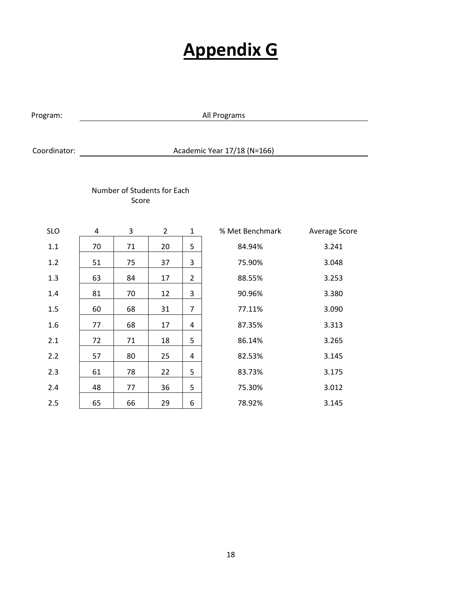## **Appendix G**

Program: All Programs

### Coordinator: Academic Year 17/18 (N=166)

### Number of Students for Each Score

| <b>SLO</b> | 4  | 3  | $\overline{2}$ | $\mathbf{1}$   | % Met Benchmark | Average Score |
|------------|----|----|----------------|----------------|-----------------|---------------|
| 1.1        | 70 | 71 | 20             | 5              | 84.94%          | 3.241         |
| 1.2        | 51 | 75 | 37             | 3              | 75.90%          | 3.048         |
| 1.3        | 63 | 84 | 17             | 2              | 88.55%          | 3.253         |
| 1.4        | 81 | 70 | 12             | 3              | 90.96%          | 3.380         |
| 1.5        | 60 | 68 | 31             | $\overline{7}$ | 77.11%          | 3.090         |
| 1.6        | 77 | 68 | 17             | 4              | 87.35%          | 3.313         |
| 2.1        | 72 | 71 | 18             | 5              | 86.14%          | 3.265         |
| 2.2        | 57 | 80 | 25             | 4              | 82.53%          | 3.145         |
| 2.3        | 61 | 78 | 22             | 5              | 83.73%          | 3.175         |
| 2.4        | 48 | 77 | 36             | 5              | 75.30%          | 3.012         |
| 2.5        | 65 | 66 | 29             | 6              | 78.92%          | 3.145         |
|            |    |    |                |                |                 |               |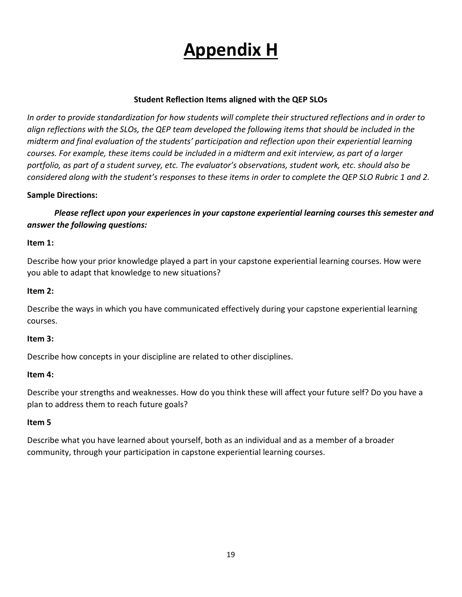# **Appendix H**

### **Student Reflection Items aligned with the QEP SLOs**

*In order to provide standardization for how students will complete their structured reflections and in order to align reflections with the SLOs, the QEP team developed the following items that should be included in the midterm and final evaluation of the students' participation and reflection upon their experiential learning courses. For example, these items could be included in a midterm and exit interview, as part of a larger portfolio, as part of a student survey, etc. The evaluator's observations, student work, etc. should also be considered along with the student's responses to these items in order to complete the QEP SLO Rubric 1 and 2.* 

### **Sample Directions:**

*Please reflect upon your experiences in your capstone experiential learning courses this semester and answer the following questions:*

### **Item 1:**

Describe how your prior knowledge played a part in your capstone experiential learning courses. How were you able to adapt that knowledge to new situations?

### **Item 2:**

Describe the ways in which you have communicated effectively during your capstone experiential learning courses.

### **Item 3:**

Describe how concepts in your discipline are related to other disciplines.

### **Item 4:**

Describe your strengths and weaknesses. How do you think these will affect your future self? Do you have a plan to address them to reach future goals?

### **Item 5**

Describe what you have learned about yourself, both as an individual and as a member of a broader community, through your participation in capstone experiential learning courses.